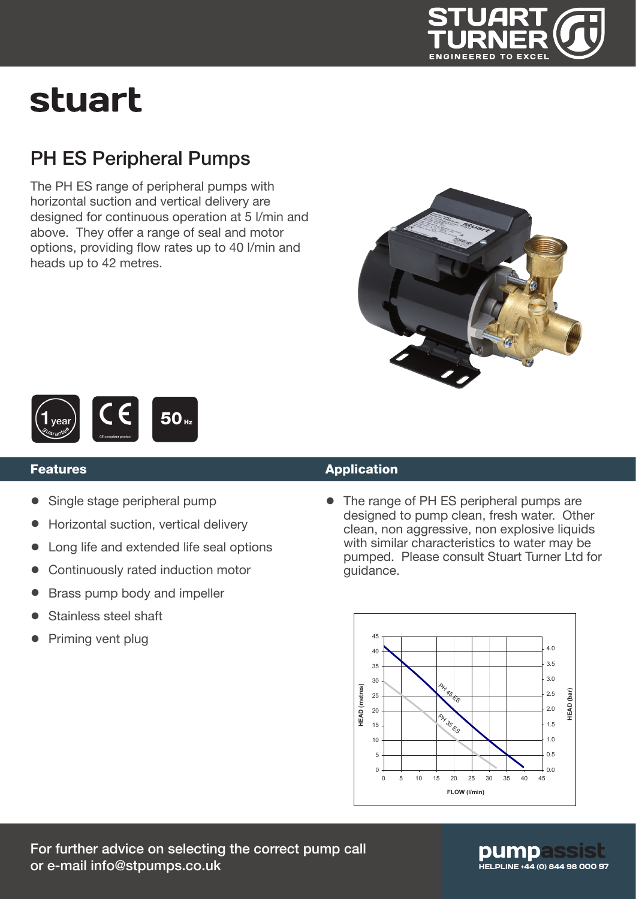

# stuart

### PH ES Peripheral Pumps

The PH ES range of peripheral pumps with horizontal suction and vertical delivery are designed for continuous operation at 5 l/min and above. They offer a range of seal and motor options, providing flow rates up to 40 l/min and heads up to 42 metres.





#### Features

- Single stage peripheral pump
- Horizontal suction, vertical delivery
- Long life and extended life seal options
- Continuously rated induction motor
- Brass pump body and impeller
- Stainless steel shaft
- Priming vent plug

#### Application

• The range of PH ES peripheral pumps are designed to pump clean, fresh water. Other clean, non aggressive, non explosive liquids with similar characteristics to water may be pumped. Please consult Stuart Turner Ltd for guidance.



### pumpas